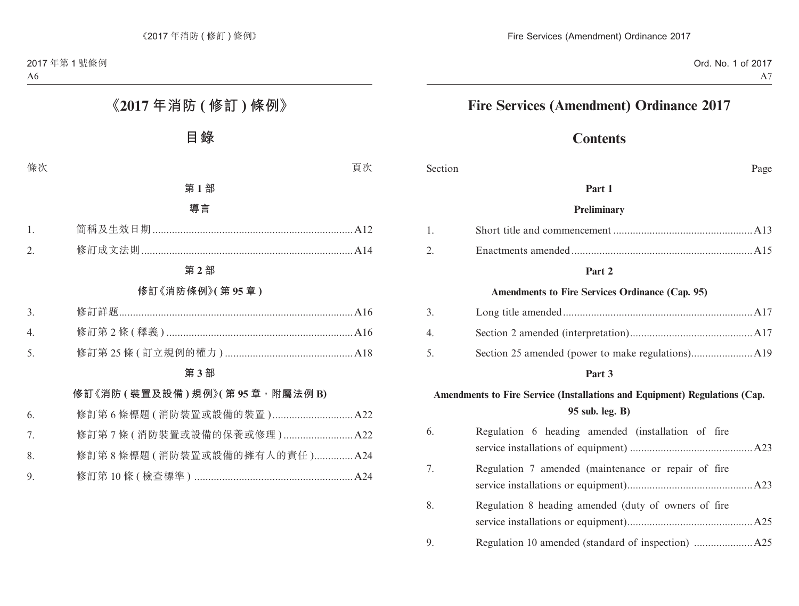# **Fire Services (Amendment) Ordinance 2017**

# **Contents**

Section Page

#### **Part 1**

#### **Preliminary**

#### **Part 2**

#### **Amendments to Fire Services Ordinance (Cap. 95)**

| 3. |  |
|----|--|
| 4  |  |
| 5. |  |

#### **Part 3**

## **Amendments to Fire Service (Installations and Equipment) Regulations (Cap. 95 sub. leg. B)**

| 6. | Regulation 6 heading amended (installation of fire   |  |
|----|------------------------------------------------------|--|
|    |                                                      |  |
| 7. | Regulation 7 amended (maintenance or repair of fire  |  |
| 8. | Regulation 8 heading amended (duty of owners of fire |  |
| 9. |                                                      |  |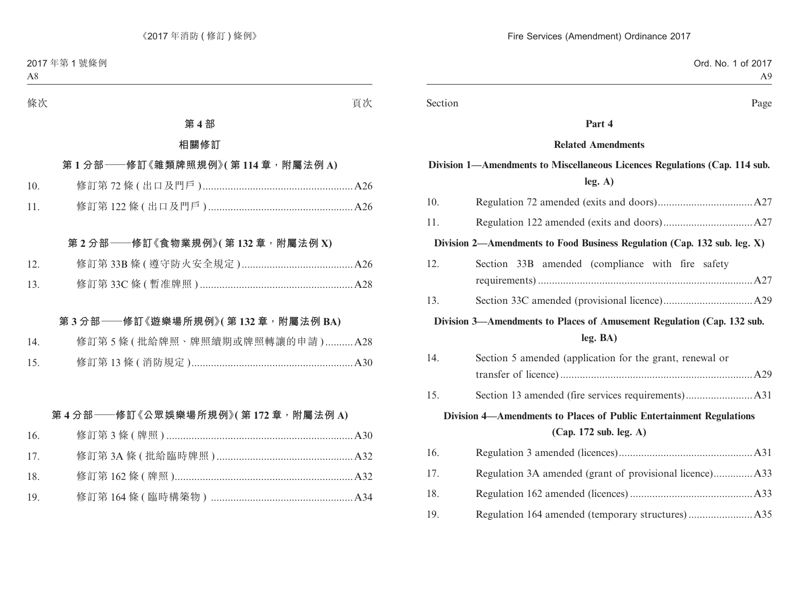Section Page

#### **Part 4**

#### **Related Amendments**

## **Division 1—Amendments to Miscellaneous Licences Regulations (Cap. 114 sub. leg. A)**

| 10.                                                                    |                                                                          |  |
|------------------------------------------------------------------------|--------------------------------------------------------------------------|--|
| 11.                                                                    |                                                                          |  |
|                                                                        | Division 2—Amendments to Food Business Regulation (Cap. 132 sub. leg. X) |  |
| 12.                                                                    | Section 33B amended (compliance with fire safety                         |  |
| 13.                                                                    |                                                                          |  |
| Division 3—Amendments to Places of Amusement Regulation (Cap. 132 sub. |                                                                          |  |
|                                                                        | leg. BA)                                                                 |  |
| 14.                                                                    | Section 5 amended (application for the grant, renewal or                 |  |
|                                                                        |                                                                          |  |
| 15.                                                                    |                                                                          |  |
| Division 4—Amendments to Places of Public Entertainment Regulations    |                                                                          |  |
| (Cap. 172 sub. leg. A)                                                 |                                                                          |  |
| 16.                                                                    |                                                                          |  |
| 17.                                                                    | Regulation 3A amended (grant of provisional licence) A33                 |  |
| 18.                                                                    |                                                                          |  |
| 19.                                                                    |                                                                          |  |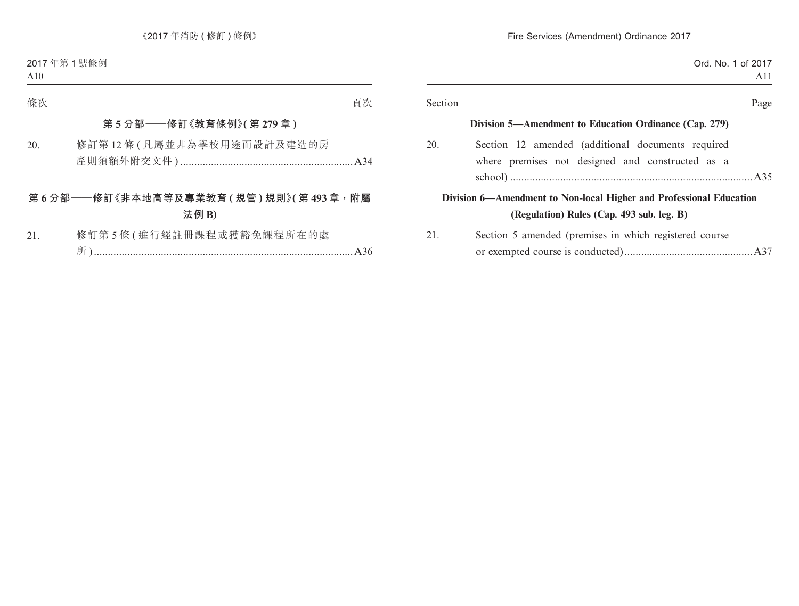| A11                                                    |         |
|--------------------------------------------------------|---------|
| Page                                                   | Section |
| Division 5—Amendment to Education Ordinance (Cap. 279) |         |
| Section 12 amended (additional documents required      | 20.     |
| where premises not designed and constructed as a       |         |
|                                                        |         |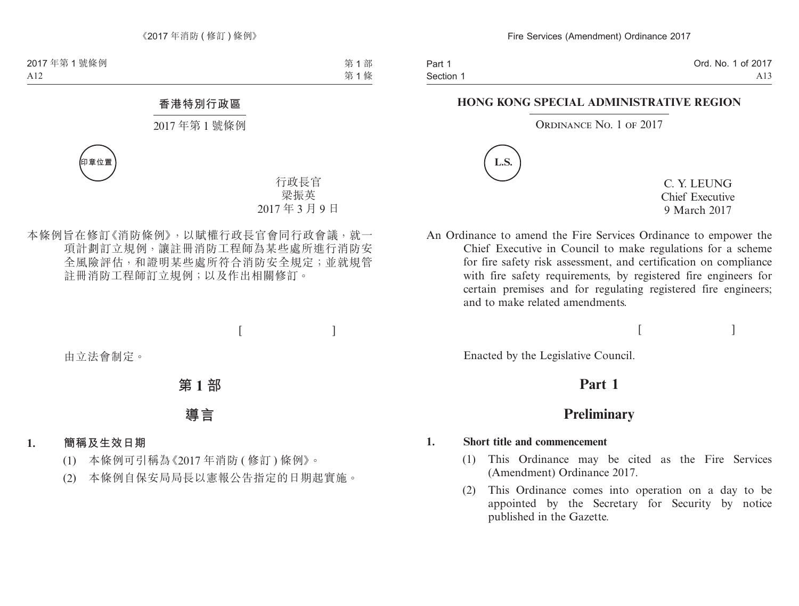#### **HONG KONG SPECIAL ADMINISTRATIVE REGION**

#### ORDINANCE NO. 1 OF 2017



C. Y. LEUNG Chief Executive 9 March 2017

An Ordinance to amend the Fire Services Ordinance to empower the Chief Executive in Council to make regulations for a scheme for fire safety risk assessment, and certification on compliance with fire safety requirements, by registered fire engineers for certain premises and for regulating registered fire engineers; and to make related amendments.

 $[$   $]$ 

Enacted by the Legislative Council.

# **Part 1**

# **Preliminary**

#### **1. Short title and commencement**

- (1) This Ordinance may be cited as the Fire Services (Amendment) Ordinance 2017.
- (2) This Ordinance comes into operation on a day to be appointed by the Secretary for Security by notice published in the Gazette.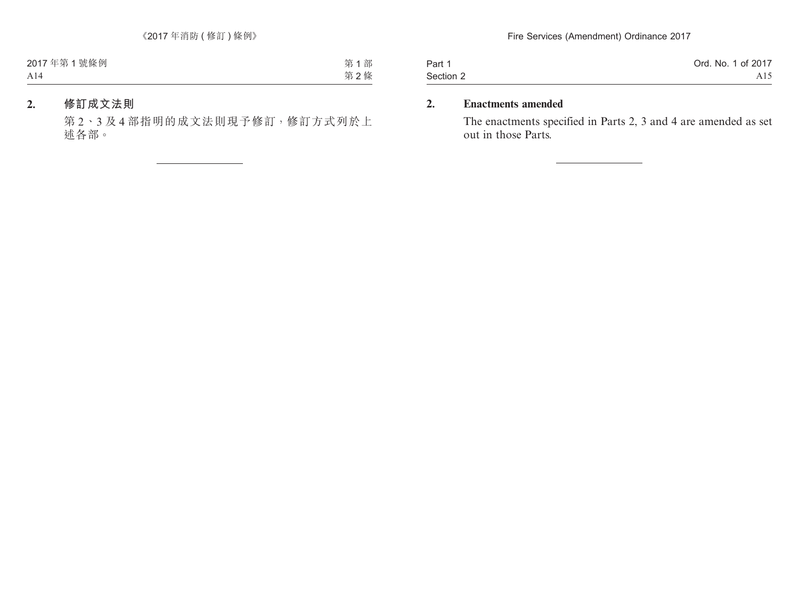| Part 1    | Ord. No. 1 of 2017 |
|-----------|--------------------|
| Section 2 | A15                |

## **2. Enactments amended**

The enactments specified in Parts 2, 3 and 4 are amended as set out in those Parts.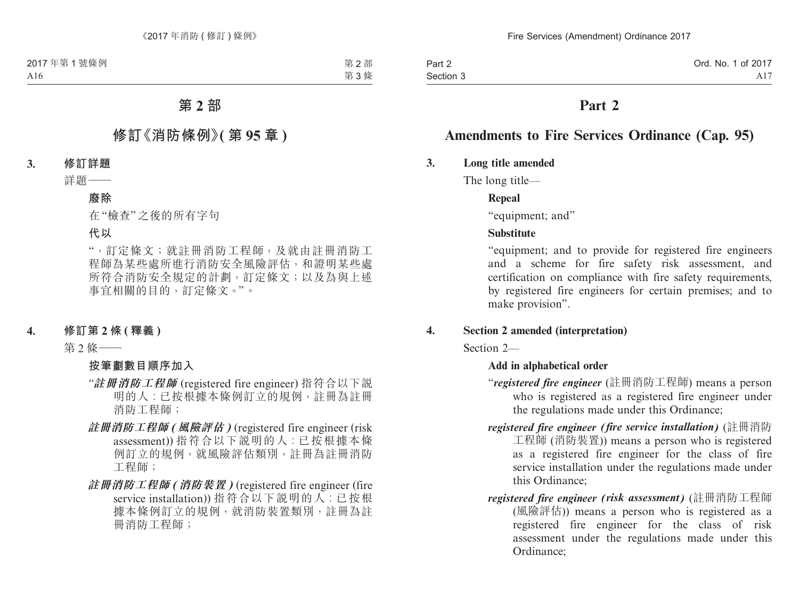# **Part 2**

# **Amendments to Fire Services Ordinance (Cap. 95)**

## **3. Long title amended**

The long title—

## **Repeal**

"equipment; and"

## **Substitute**

"equipment; and to provide for registered fire engineers and a scheme for fire safety risk assessment, and certification on compliance with fire safety requirements, by registered fire engineers for certain premises; and to make provision".

## **4. Section 2 amended (interpretation)**

Section 2—

## **Add in alphabetical order**

- "*registered fire engineer* (註冊消防工程師) means a person who is registered as a registered fire engineer under the regulations made under this Ordinance;
- *registered fire engineer (fire service installation)* (註冊消防 工程師 (消防裝置)) means a person who is registered as a registered fire engineer for the class of fire service installation under the regulations made under this Ordinance;
- *registered fire engineer (risk assessment)* (註冊消防工程師 (風險評估)) means a person who is registered as a registered fire engineer for the class of risk assessment under the regulations made under this Ordinance;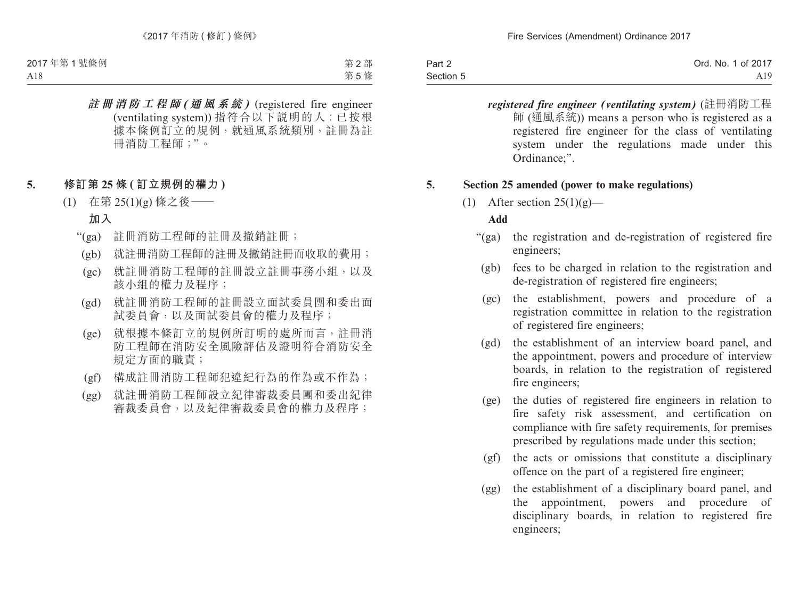| Part 2    | Ord. No. 1 of 2017 |
|-----------|--------------------|
| Section 5 | A19                |

*registered fire engineer (ventilating system)* (註冊消防工程 師 (通風系統)) means a person who is registered as a registered fire engineer for the class of ventilating system under the regulations made under this Ordinance;".

#### **5. Section 25 amended (power to make regulations)**

(1) After section  $25(1)(g)$ —

#### **Add**

- "(ga) the registration and de-registration of registered fire engineers;
	- (gb) fees to be charged in relation to the registration and de-registration of registered fire engineers;
	- (gc) the establishment, powers and procedure of a registration committee in relation to the registration of registered fire engineers;
	- (gd) the establishment of an interview board panel, and the appointment, powers and procedure of interview boards, in relation to the registration of registered fire engineers;
	- (ge) the duties of registered fire engineers in relation to fire safety risk assessment, and certification on compliance with fire safety requirements, for premises prescribed by regulations made under this section;
	- (gf) the acts or omissions that constitute a disciplinary offence on the part of a registered fire engineer;
	- (gg) the establishment of a disciplinary board panel, and the appointment, powers and procedure of disciplinary boards, in relation to registered fire engineers;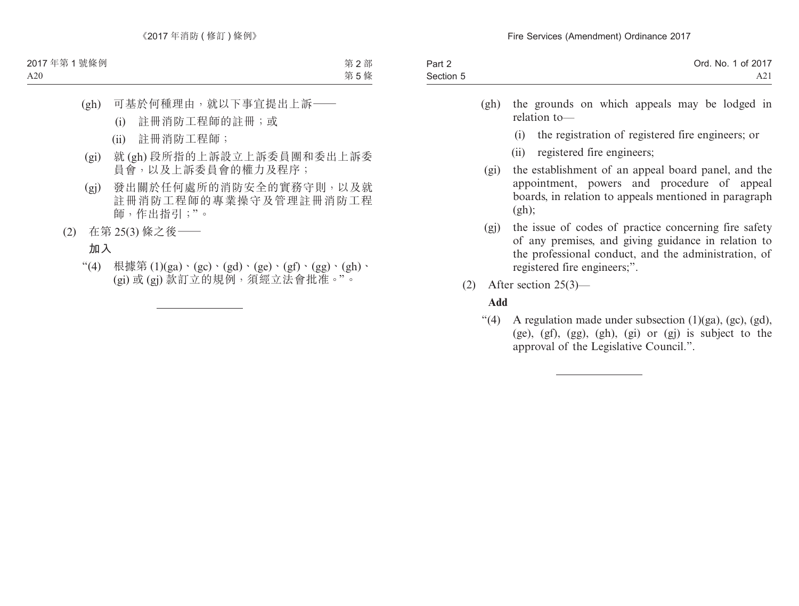| Part 2    | Ord. No. 1 of 2017 |
|-----------|--------------------|
| Section 5 | A2i                |

- (gh) the grounds on which appeals may be lodged in relation to—
	- (i) the registration of registered fire engineers; or
	- (ii) registered fire engineers;
- (gi) the establishment of an appeal board panel, and the appointment, powers and procedure of appeal boards, in relation to appeals mentioned in paragraph  $(gh)$ :
- (gj) the issue of codes of practice concerning fire safety of any premises, and giving guidance in relation to the professional conduct, and the administration, of registered fire engineers;".
- (2) After section 25(3)—

### **Add**

"(4) A regulation made under subsection  $(1)(ga)$ ,  $(gc)$ ,  $(gd)$ , (ge), (gf), (gg), (gh), (gi) or (gj) is subject to the approval of the Legislative Council.".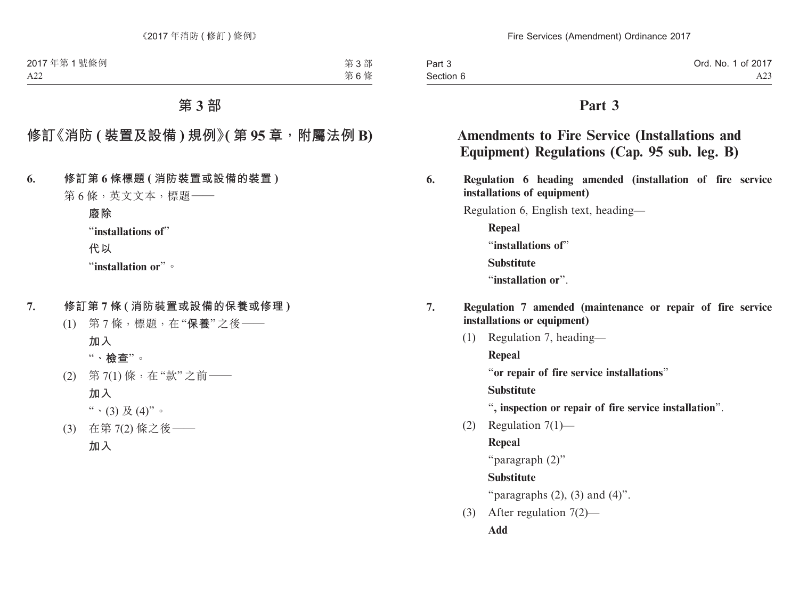# **Part 3**

# **Amendments to Fire Service (Installations and Equipment) Regulations (Cap. 95 sub. leg. B)**

**6. Regulation 6 heading amended (installation of fire service installations of equipment)**

Regulation 6, English text, heading—

**Repeal** "**installations of**" **Substitute** "**installation or**".

- **7. Regulation 7 amended (maintenance or repair of fire service installations or equipment)**
	- (1) Regulation 7, heading— **Repeal** "**or repair of fire service installations**"

**Substitute**

- "**, inspection or repair of fire service installation**".
- (2) Regulation 7(1)—

**Repeal**

```
"paragraph (2)"
```
**Substitute**

"paragraphs  $(2)$ ,  $(3)$  and  $(4)$ ".

(3) After regulation 7(2)— **Add**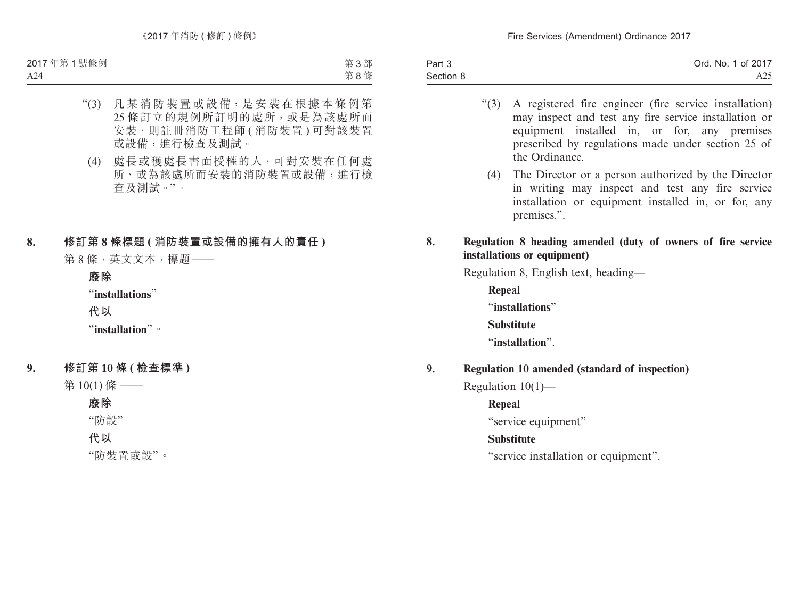| Part 3    | Ord. No. 1 of 2017 |
|-----------|--------------------|
| Section 8 | A25.               |

- "(3) A registered fire engineer (fire service installation) may inspect and test any fire service installation or equipment installed in, or for, any premises prescribed by regulations made under section 25 of the Ordinance.
	- (4) The Director or a person authorized by the Director in writing may inspect and test any fire service installation or equipment installed in, or for, any premises.".

### **8. Regulation 8 heading amended (duty of owners of fire service installations or equipment)**

Regulation 8, English text, heading—

**Repeal** "**installations**" **Substitute** "**installation**".

## **9. Regulation 10 amended (standard of inspection)**

Regulation 10(1)—

**Repeal**

"service equipment"

## **Substitute**

"service installation or equipment".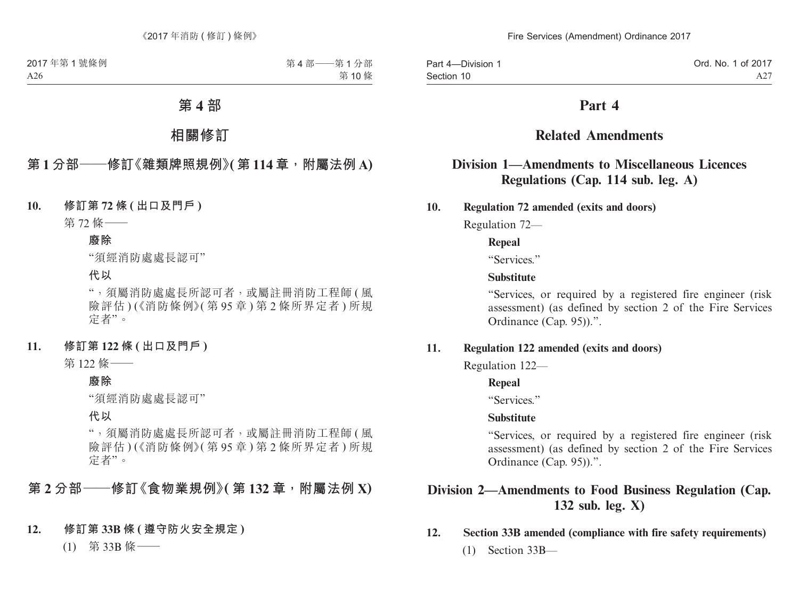# **Part 4**

# **Related Amendments**

# **Division 1—Amendments to Miscellaneous Licences Regulations (Cap. 114 sub. leg. A)**

**10. Regulation 72 amended (exits and doors)**

Regulation 72—

### **Repeal**

"Services."

#### **Substitute**

"Services, or required by a registered fire engineer (risk assessment) (as defined by section 2 of the Fire Services Ordinance (Cap. 95)).".

### **11. Regulation 122 amended (exits and doors)**

Regulation 122—

### **Repeal**

"Services"

#### **Substitute**

"Services, or required by a registered fire engineer (risk assessment) (as defined by section 2 of the Fire Services Ordinance (Cap. 95)).".

# **Division 2—Amendments to Food Business Regulation (Cap. 132 sub. leg. X)**

### **12. Section 33B amended (compliance with fire safety requirements)**

(1) Section 33B—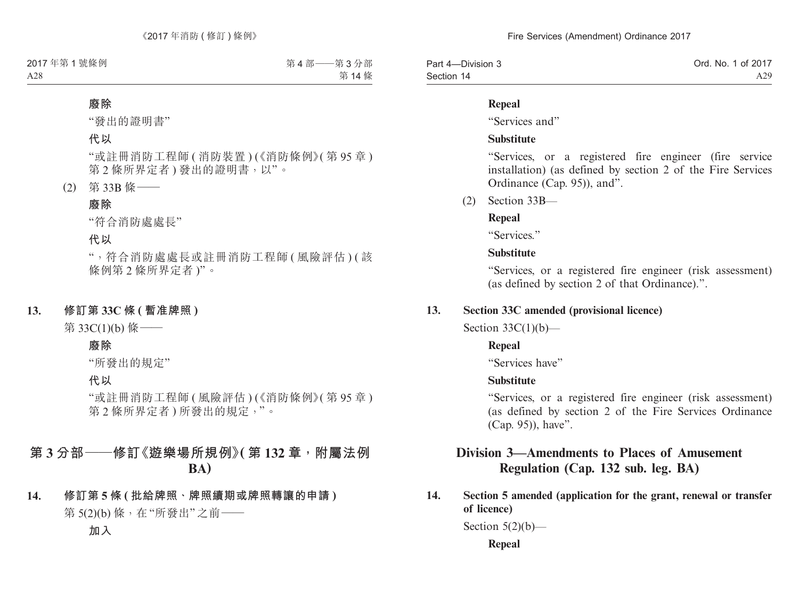| Part 4-Division 3 | Ord. No. 1 of 2017 |
|-------------------|--------------------|
| Section 14        | A29                |

#### **Repeal**

"Services and"

#### **Substitute**

"Services, or a registered fire engineer (fire service installation) (as defined by section 2 of the Fire Services Ordinance (Cap. 95)), and".

(2) Section 33B—

### **Repeal**

"Services."

### **Substitute**

"Services, or a registered fire engineer (risk assessment) (as defined by section 2 of that Ordinance).".

### **13. Section 33C amended (provisional licence)**

Section  $33C(1)(b)$ —

### **Repeal**

"Services have"

#### **Substitute**

"Services, or a registered fire engineer (risk assessment) (as defined by section 2 of the Fire Services Ordinance (Cap. 95)), have".

# **Division 3—Amendments to Places of Amusement Regulation (Cap. 132 sub. leg. BA)**

**14. Section 5 amended (application for the grant, renewal or transfer of licence)**

Section  $5(2)(b)$ —

**Repeal**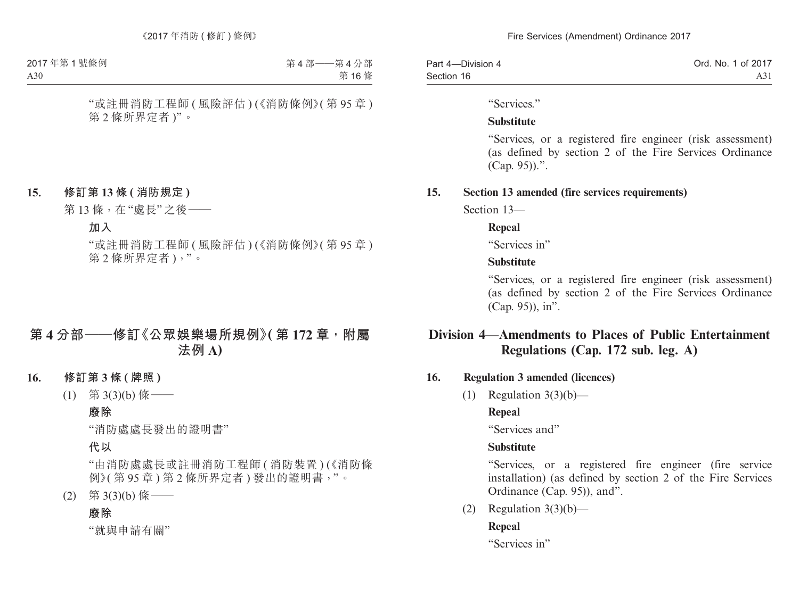| Part 4-Division 4 | Ord. No. 1 of 2017 |
|-------------------|--------------------|
| Section 16        | A31                |

"Services."

### **Substitute**

"Services, or a registered fire engineer (risk assessment) (as defined by section 2 of the Fire Services Ordinance (Cap. 95)).".

## **15. Section 13 amended (fire services requirements)**

Section 13—

## **Repeal**

"Services in"

## **Substitute**

"Services, or a registered fire engineer (risk assessment) (as defined by section 2 of the Fire Services Ordinance (Cap. 95)), in".

# **Division 4—Amendments to Places of Public Entertainment Regulations (Cap. 172 sub. leg. A)**

## **16. Regulation 3 amended (licences)**

(1) Regulation  $3(3)(b)$ —

# **Repeal**

"Services and"

## **Substitute**

"Services, or a registered fire engineer (fire service installation) (as defined by section 2 of the Fire Services Ordinance (Cap. 95)), and".

(2) Regulation  $3(3)(b)$ —

# **Repeal**

"Services in"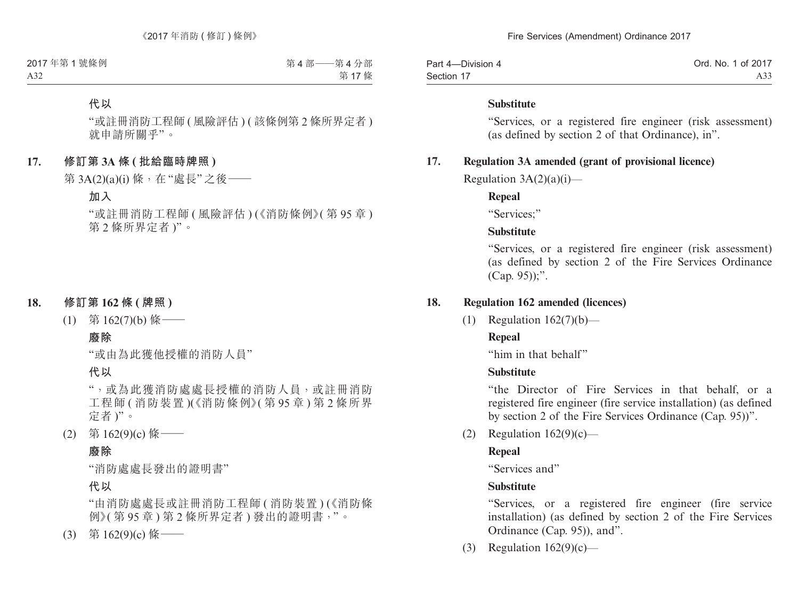| Part 4-Division 4 | Ord. No. 1 of 2017 |
|-------------------|--------------------|
| Section 17        | A33                |

#### **Substitute**

"Services, or a registered fire engineer (risk assessment) (as defined by section 2 of that Ordinance), in".

### **17. Regulation 3A amended (grant of provisional licence)**

Regulation  $3A(2)(a)(i)$ —

### **Repeal**

"Services;"

## **Substitute**

"Services, or a registered fire engineer (risk assessment) (as defined by section 2 of the Fire Services Ordinance (Cap. 95));".

### **18. Regulation 162 amended (licences)**

(1) Regulation 162(7)(b)—

## **Repeal**

"him in that behalf"

## **Substitute**

"the Director of Fire Services in that behalf, or a registered fire engineer (fire service installation) (as defined by section 2 of the Fire Services Ordinance (Cap. 95))".

(2) Regulation  $162(9)(c)$ —

## **Repeal**

"Services and"

## **Substitute**

"Services, or a registered fire engineer (fire service installation) (as defined by section 2 of the Fire Services Ordinance (Cap. 95)), and".

(3) Regulation  $162(9)(c)$ —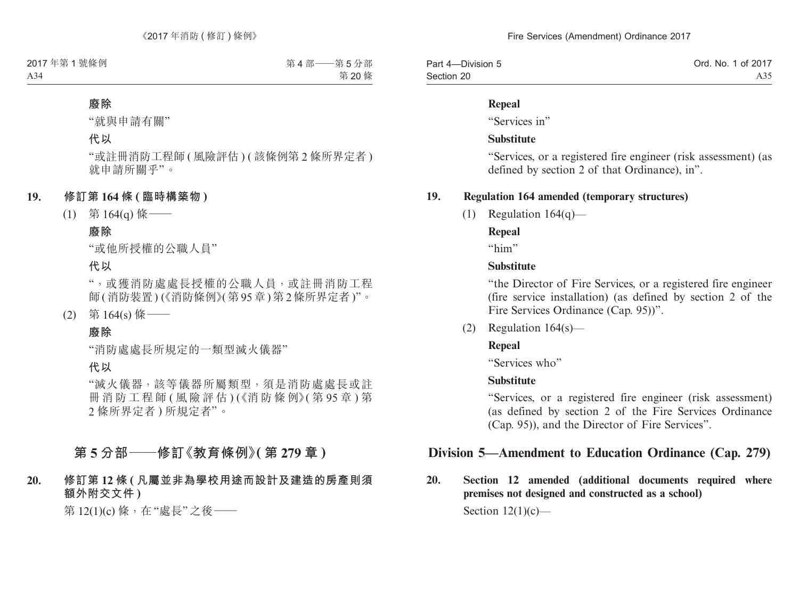| Part 4-Division 5 | Ord. No. 1 of 2017 |
|-------------------|--------------------|
| Section 20        | A35                |

#### **Repeal**

"Services in"

#### **Substitute**

"Services, or a registered fire engineer (risk assessment) (as defined by section 2 of that Ordinance), in".

### **19. Regulation 164 amended (temporary structures)**

(1) Regulation  $164(q)$ —

### **Repeal**

"him"

### **Substitute**

"the Director of Fire Services, or a registered fire engineer (fire service installation) (as defined by section 2 of the Fire Services Ordinance (Cap. 95))".

(2) Regulation 164(s)—

## **Repeal**

"Services who"

## **Substitute**

"Services, or a registered fire engineer (risk assessment) (as defined by section 2 of the Fire Services Ordinance (Cap. 95)), and the Director of Fire Services".

# **Division 5—Amendment to Education Ordinance (Cap. 279)**

**20. Section 12 amended (additional documents required where premises not designed and constructed as a school)**

Section  $12(1)(c)$ —